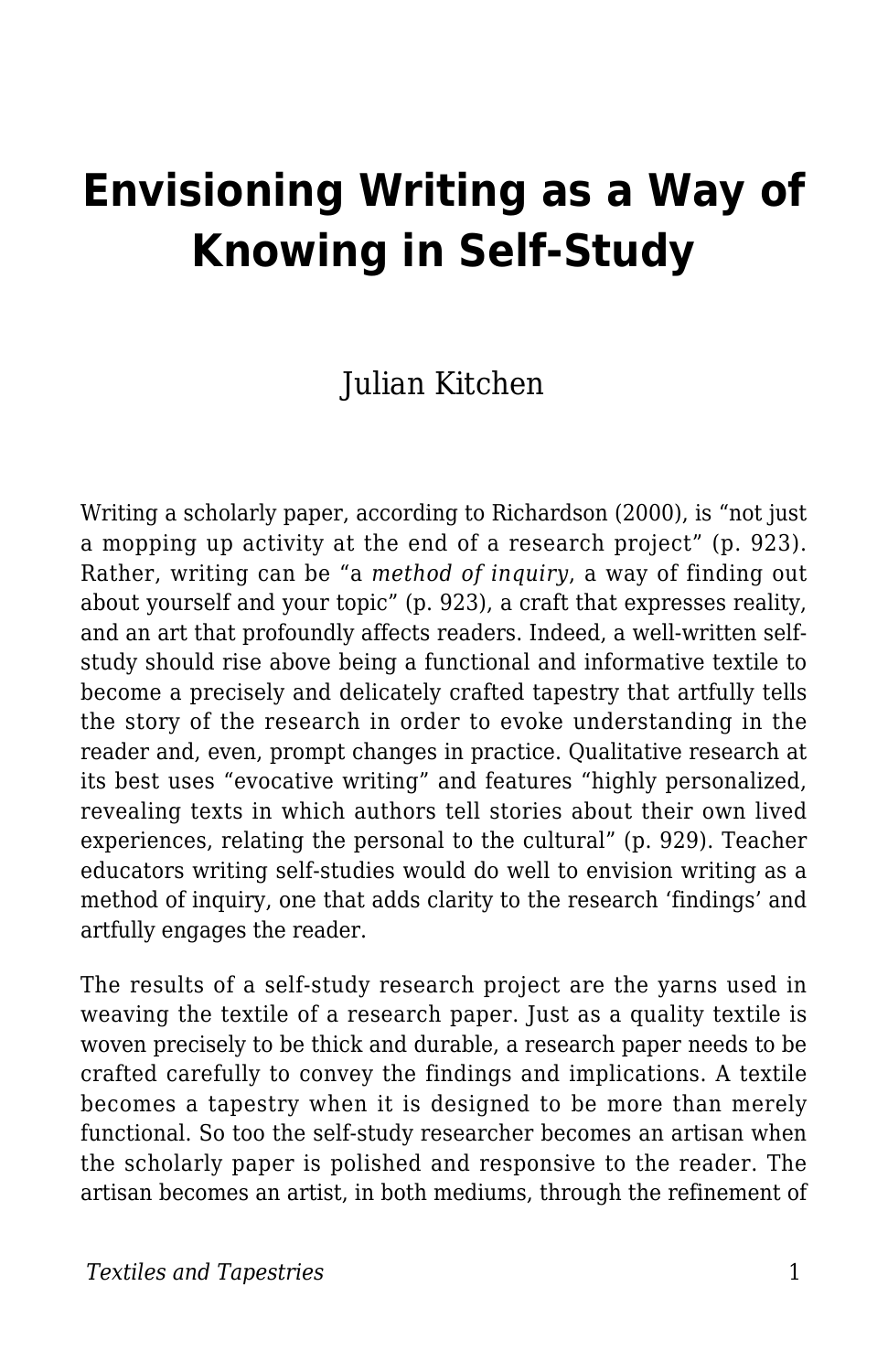# **Envisioning Writing as a Way of Knowing in Self-Study**

### Julian Kitchen

Writing a scholarly paper, according to Richardson (2000), is "not just a mopping up activity at the end of a research project" (p. 923). Rather, writing can be "a *method of inquiry*, a way of finding out about yourself and your topic" (p. 923), a craft that expresses reality, and an art that profoundly affects readers. Indeed, a well-written selfstudy should rise above being a functional and informative textile to become a precisely and delicately crafted tapestry that artfully tells the story of the research in order to evoke understanding in the reader and, even, prompt changes in practice. Qualitative research at its best uses "evocative writing" and features "highly personalized, revealing texts in which authors tell stories about their own lived experiences, relating the personal to the cultural" (p. 929). Teacher educators writing self-studies would do well to envision writing as a method of inquiry, one that adds clarity to the research 'findings' and artfully engages the reader.

The results of a self-study research project are the yarns used in weaving the textile of a research paper. Just as a quality textile is woven precisely to be thick and durable, a research paper needs to be crafted carefully to convey the findings and implications. A textile becomes a tapestry when it is designed to be more than merely functional. So too the self-study researcher becomes an artisan when the scholarly paper is polished and responsive to the reader. The artisan becomes an artist, in both mediums, through the refinement of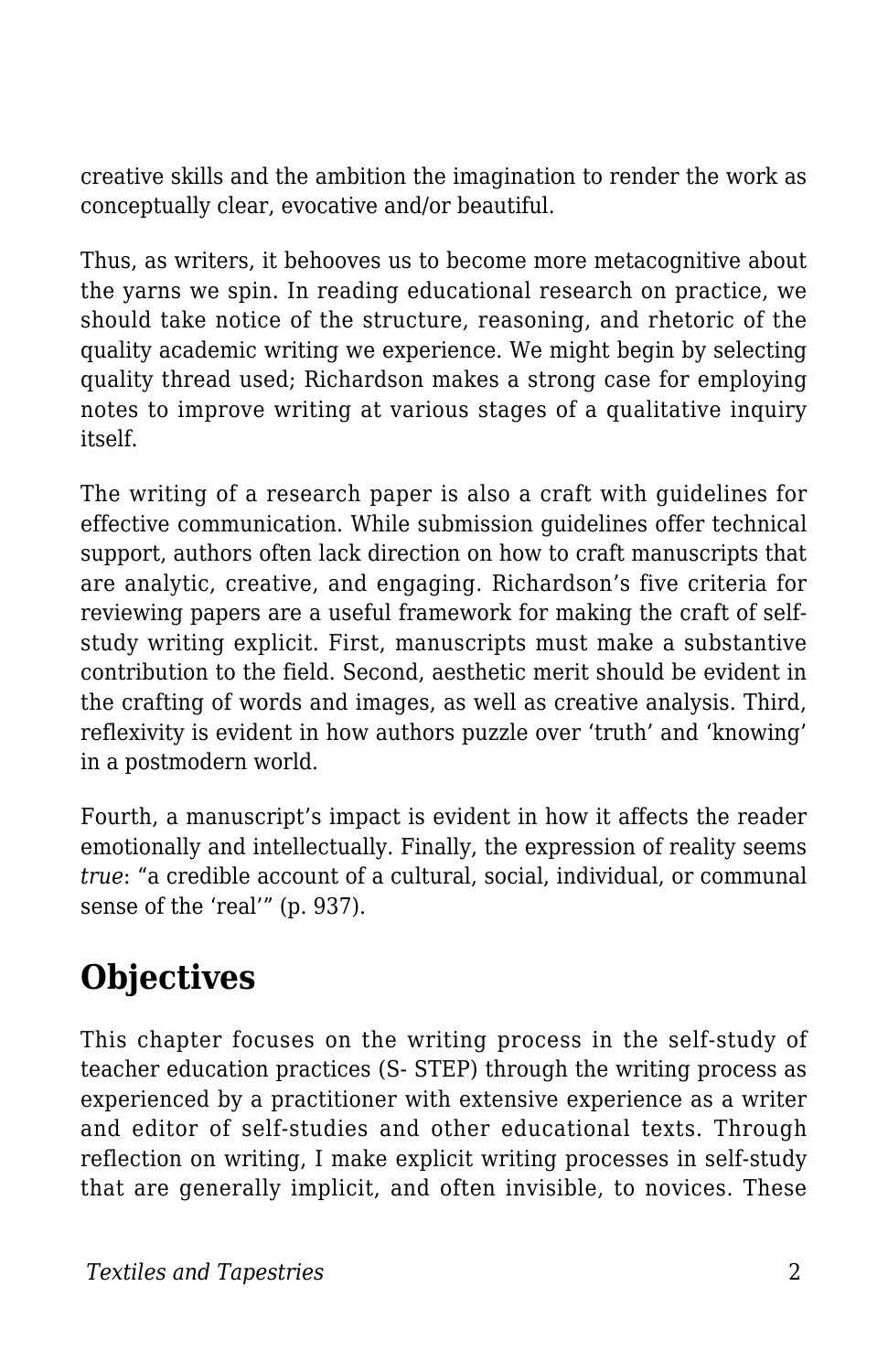creative skills and the ambition the imagination to render the work as conceptually clear, evocative and/or beautiful.

Thus, as writers, it behooves us to become more metacognitive about the yarns we spin. In reading educational research on practice, we should take notice of the structure, reasoning, and rhetoric of the quality academic writing we experience. We might begin by selecting quality thread used; Richardson makes a strong case for employing notes to improve writing at various stages of a qualitative inquiry itself.

The writing of a research paper is also a craft with guidelines for effective communication. While submission guidelines offer technical support, authors often lack direction on how to craft manuscripts that are analytic, creative, and engaging. Richardson's five criteria for reviewing papers are a useful framework for making the craft of selfstudy writing explicit. First, manuscripts must make a substantive contribution to the field. Second, aesthetic merit should be evident in the crafting of words and images, as well as creative analysis. Third, reflexivity is evident in how authors puzzle over 'truth' and 'knowing' in a postmodern world.

Fourth, a manuscript's impact is evident in how it affects the reader emotionally and intellectually. Finally, the expression of reality seems *true*: "a credible account of a cultural, social, individual, or communal sense of the 'real'" (p. 937).

## **Objectives**

This chapter focuses on the writing process in the self-study of teacher education practices (S- STEP) through the writing process as experienced by a practitioner with extensive experience as a writer and editor of self-studies and other educational texts. Through reflection on writing, I make explicit writing processes in self-study that are generally implicit, and often invisible, to novices. These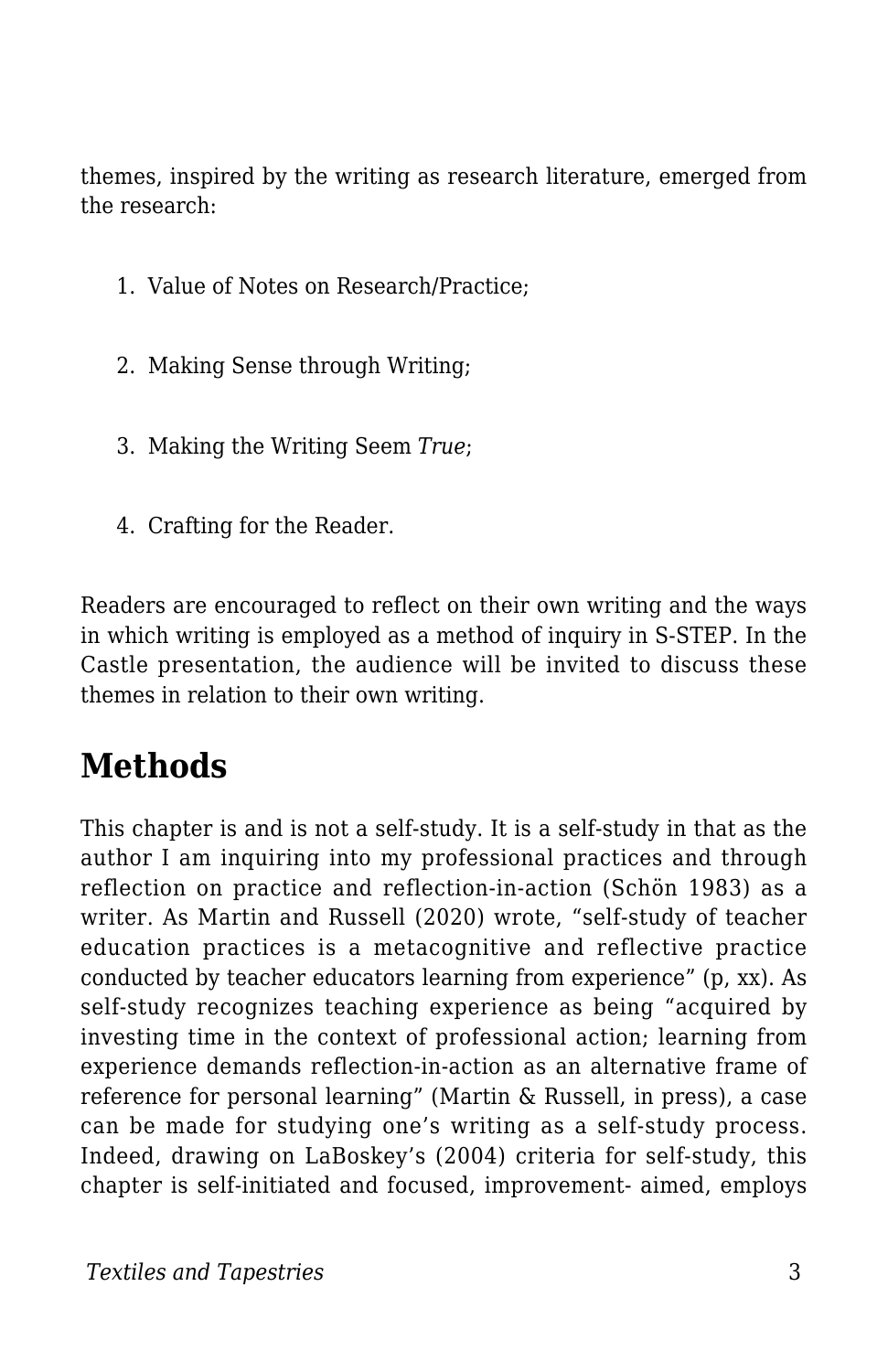themes, inspired by the writing as research literature, emerged from the research:

- 1. Value of Notes on Research/Practice;
- 2. Making Sense through Writing;
- 3. Making the Writing Seem *True*;
- 4. Crafting for the Reader.

Readers are encouraged to reflect on their own writing and the ways in which writing is employed as a method of inquiry in S-STEP. In the Castle presentation, the audience will be invited to discuss these themes in relation to their own writing.

### **Methods**

This chapter is and is not a self-study. It is a self-study in that as the author I am inquiring into my professional practices and through reflection on practice and reflection-in-action (Schön 1983) as a writer. As Martin and Russell (2020) wrote, "self-study of teacher education practices is a metacognitive and reflective practice conducted by teacher educators learning from experience" (p, xx). As self-study recognizes teaching experience as being "acquired by investing time in the context of professional action; learning from experience demands reflection-in-action as an alternative frame of reference for personal learning" (Martin & Russell, in press), a case can be made for studying one's writing as a self-study process. Indeed, drawing on LaBoskey's (2004) criteria for self-study, this chapter is self-initiated and focused, improvement- aimed, employs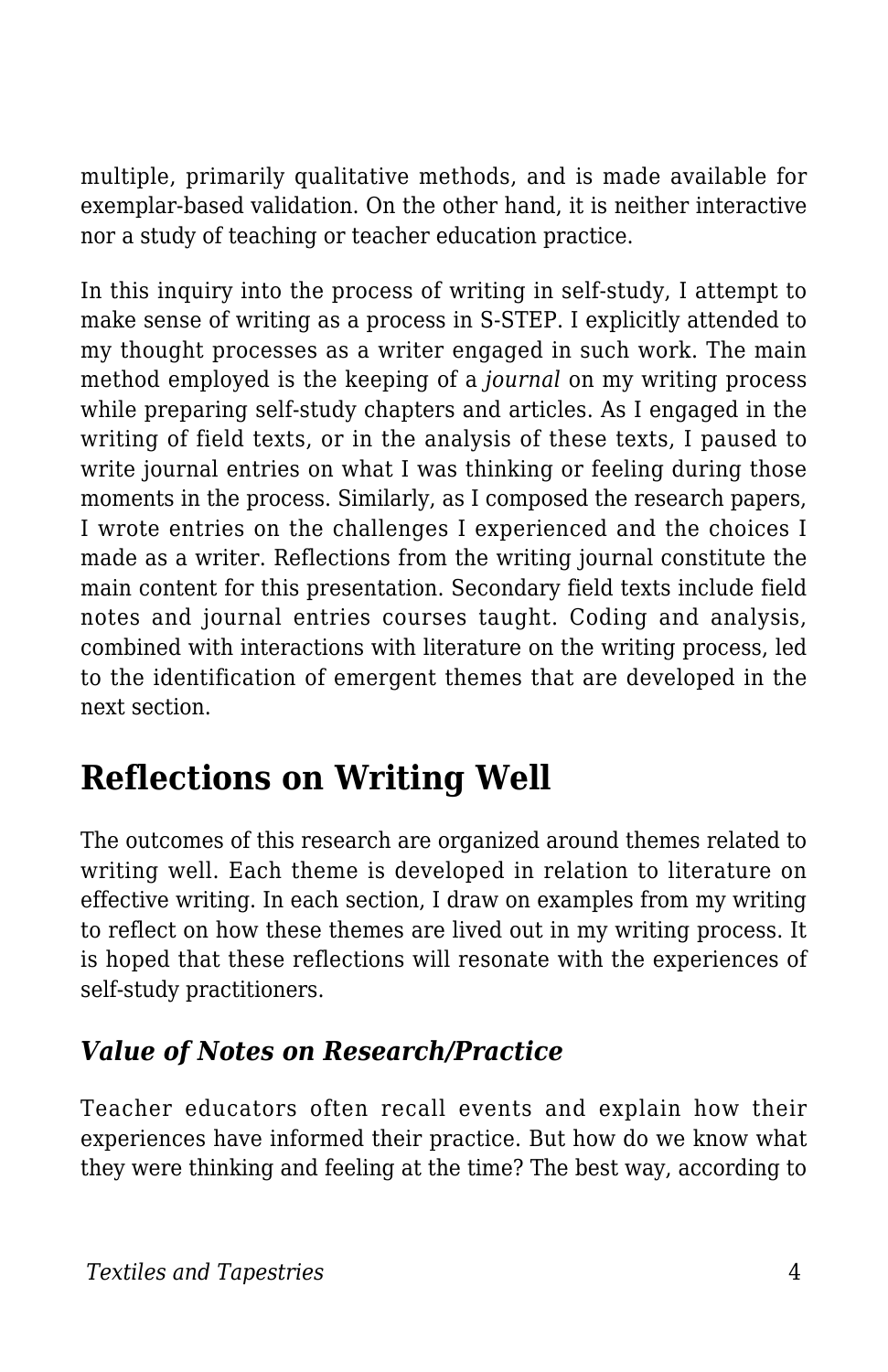multiple, primarily qualitative methods, and is made available for exemplar-based validation. On the other hand, it is neither interactive nor a study of teaching or teacher education practice.

In this inquiry into the process of writing in self-study, I attempt to make sense of writing as a process in S-STEP. I explicitly attended to my thought processes as a writer engaged in such work. The main method employed is the keeping of a *journal* on my writing process while preparing self-study chapters and articles. As I engaged in the writing of field texts, or in the analysis of these texts, I paused to write journal entries on what I was thinking or feeling during those moments in the process. Similarly, as I composed the research papers, I wrote entries on the challenges I experienced and the choices I made as a writer. Reflections from the writing journal constitute the main content for this presentation. Secondary field texts include field notes and journal entries courses taught. Coding and analysis, combined with interactions with literature on the writing process, led to the identification of emergent themes that are developed in the next section.

## **Reflections on Writing Well**

The outcomes of this research are organized around themes related to writing well. Each theme is developed in relation to literature on effective writing. In each section, I draw on examples from my writing to reflect on how these themes are lived out in my writing process. It is hoped that these reflections will resonate with the experiences of self-study practitioners.

#### *Value of Notes on Research/Practice*

Teacher educators often recall events and explain how their experiences have informed their practice. But how do we know what they were thinking and feeling at the time? The best way, according to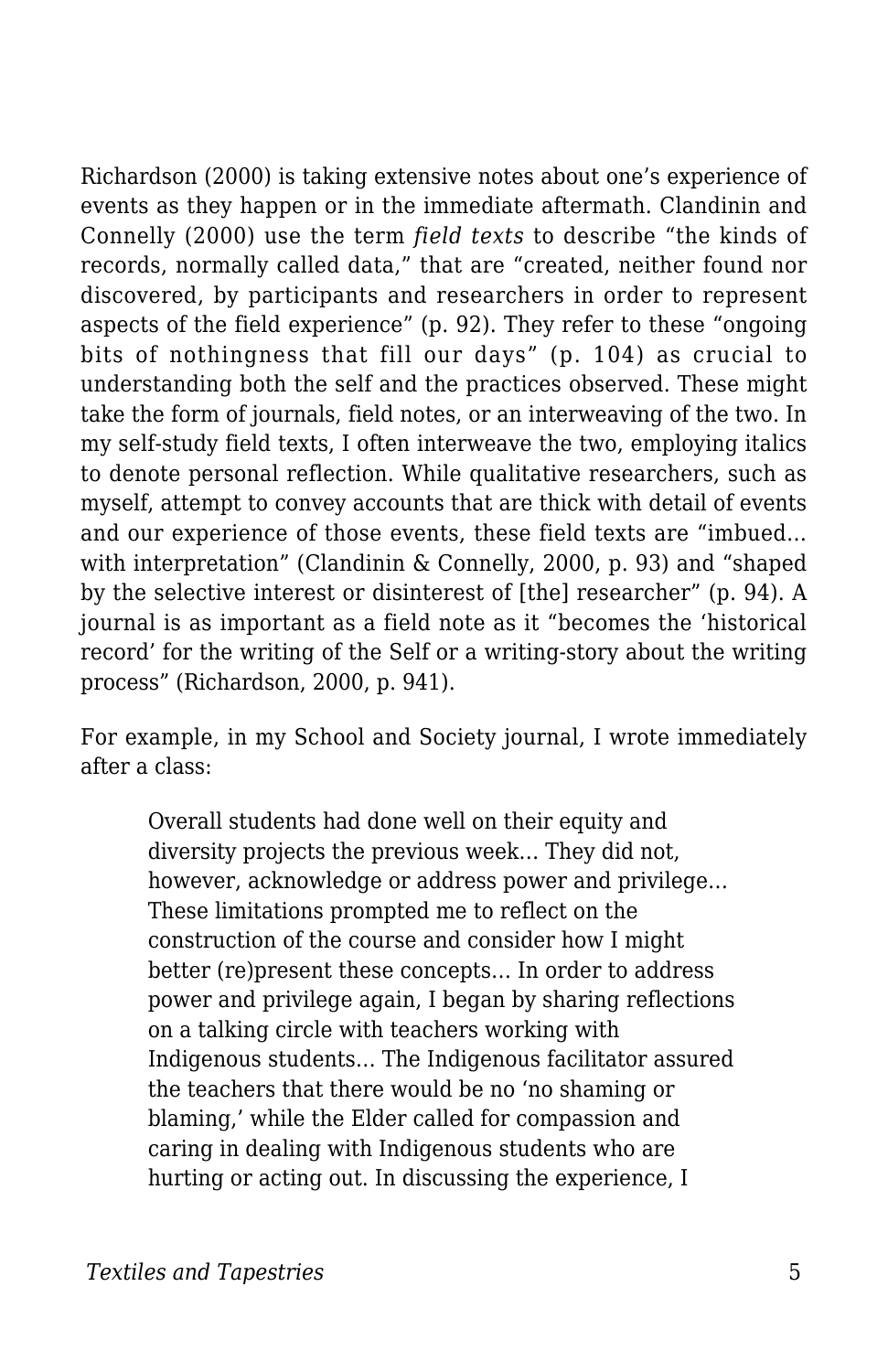Richardson (2000) is taking extensive notes about one's experience of events as they happen or in the immediate aftermath. Clandinin and Connelly (2000) use the term *field texts* to describe "the kinds of records, normally called data," that are "created, neither found nor discovered, by participants and researchers in order to represent aspects of the field experience" (p. 92). They refer to these "ongoing bits of nothingness that fill our days" (p. 104) as crucial to understanding both the self and the practices observed. These might take the form of journals, field notes, or an interweaving of the two. In my self-study field texts, I often interweave the two, employing italics to denote personal reflection. While qualitative researchers, such as myself, attempt to convey accounts that are thick with detail of events and our experience of those events, these field texts are "imbued… with interpretation" (Clandinin & Connelly, 2000, p. 93) and "shaped by the selective interest or disinterest of [the] researcher" (p. 94). A journal is as important as a field note as it "becomes the 'historical record' for the writing of the Self or a writing-story about the writing process" (Richardson, 2000, p. 941).

For example, in my School and Society journal, I wrote immediately after a class:

Overall students had done well on their equity and diversity projects the previous week… They did not, however, acknowledge or address power and privilege… These limitations prompted me to reflect on the construction of the course and consider how I might better (re)present these concepts… In order to address power and privilege again, I began by sharing reflections on a talking circle with teachers working with Indigenous students… The Indigenous facilitator assured the teachers that there would be no 'no shaming or blaming,' while the Elder called for compassion and caring in dealing with Indigenous students who are hurting or acting out. In discussing the experience, I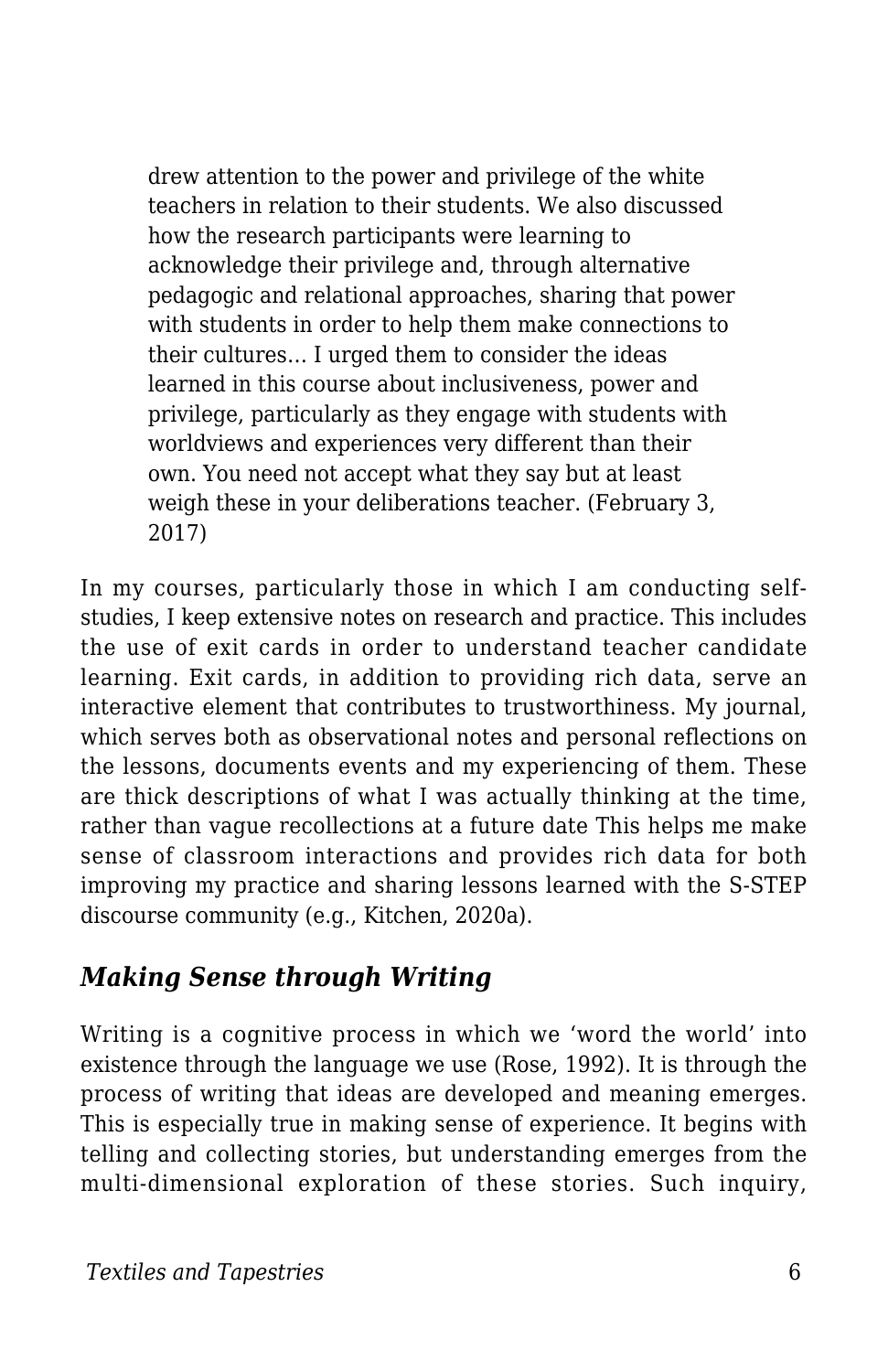drew attention to the power and privilege of the white teachers in relation to their students. We also discussed how the research participants were learning to acknowledge their privilege and, through alternative pedagogic and relational approaches, sharing that power with students in order to help them make connections to their cultures… I urged them to consider the ideas learned in this course about inclusiveness, power and privilege, particularly as they engage with students with worldviews and experiences very different than their own. You need not accept what they say but at least weigh these in your deliberations teacher. (February 3, 2017)

In my courses, particularly those in which I am conducting selfstudies, I keep extensive notes on research and practice. This includes the use of exit cards in order to understand teacher candidate learning. Exit cards, in addition to providing rich data, serve an interactive element that contributes to trustworthiness. My journal, which serves both as observational notes and personal reflections on the lessons, documents events and my experiencing of them. These are thick descriptions of what I was actually thinking at the time, rather than vague recollections at a future date This helps me make sense of classroom interactions and provides rich data for both improving my practice and sharing lessons learned with the S-STEP discourse community (e.g., Kitchen, 2020a).

#### *Making Sense through Writing*

Writing is a cognitive process in which we 'word the world' into existence through the language we use (Rose, 1992). It is through the process of writing that ideas are developed and meaning emerges. This is especially true in making sense of experience. It begins with telling and collecting stories, but understanding emerges from the multi-dimensional exploration of these stories. Such inquiry,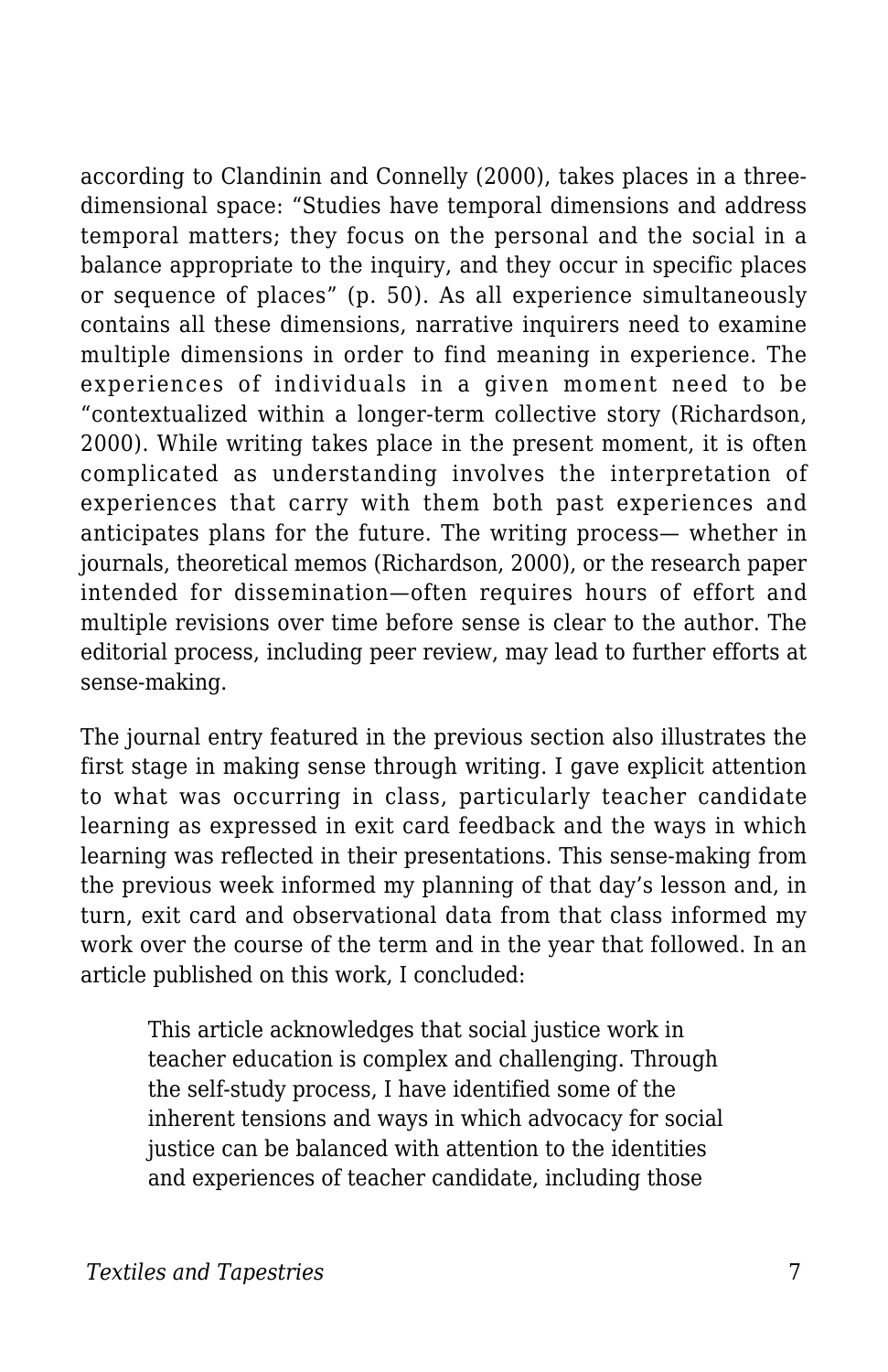according to Clandinin and Connelly (2000), takes places in a threedimensional space: "Studies have temporal dimensions and address temporal matters; they focus on the personal and the social in a balance appropriate to the inquiry, and they occur in specific places or sequence of places" (p. 50). As all experience simultaneously contains all these dimensions, narrative inquirers need to examine multiple dimensions in order to find meaning in experience. The experiences of individuals in a given moment need to be "contextualized within a longer-term collective story (Richardson, 2000). While writing takes place in the present moment, it is often complicated as understanding involves the interpretation of experiences that carry with them both past experiences and anticipates plans for the future. The writing process— whether in journals, theoretical memos (Richardson, 2000), or the research paper intended for dissemination—often requires hours of effort and multiple revisions over time before sense is clear to the author. The editorial process, including peer review, may lead to further efforts at sense-making.

The journal entry featured in the previous section also illustrates the first stage in making sense through writing. I gave explicit attention to what was occurring in class, particularly teacher candidate learning as expressed in exit card feedback and the ways in which learning was reflected in their presentations. This sense-making from the previous week informed my planning of that day's lesson and, in turn, exit card and observational data from that class informed my work over the course of the term and in the year that followed. In an article published on this work, I concluded:

This article acknowledges that social justice work in teacher education is complex and challenging. Through the self-study process, I have identified some of the inherent tensions and ways in which advocacy for social justice can be balanced with attention to the identities and experiences of teacher candidate, including those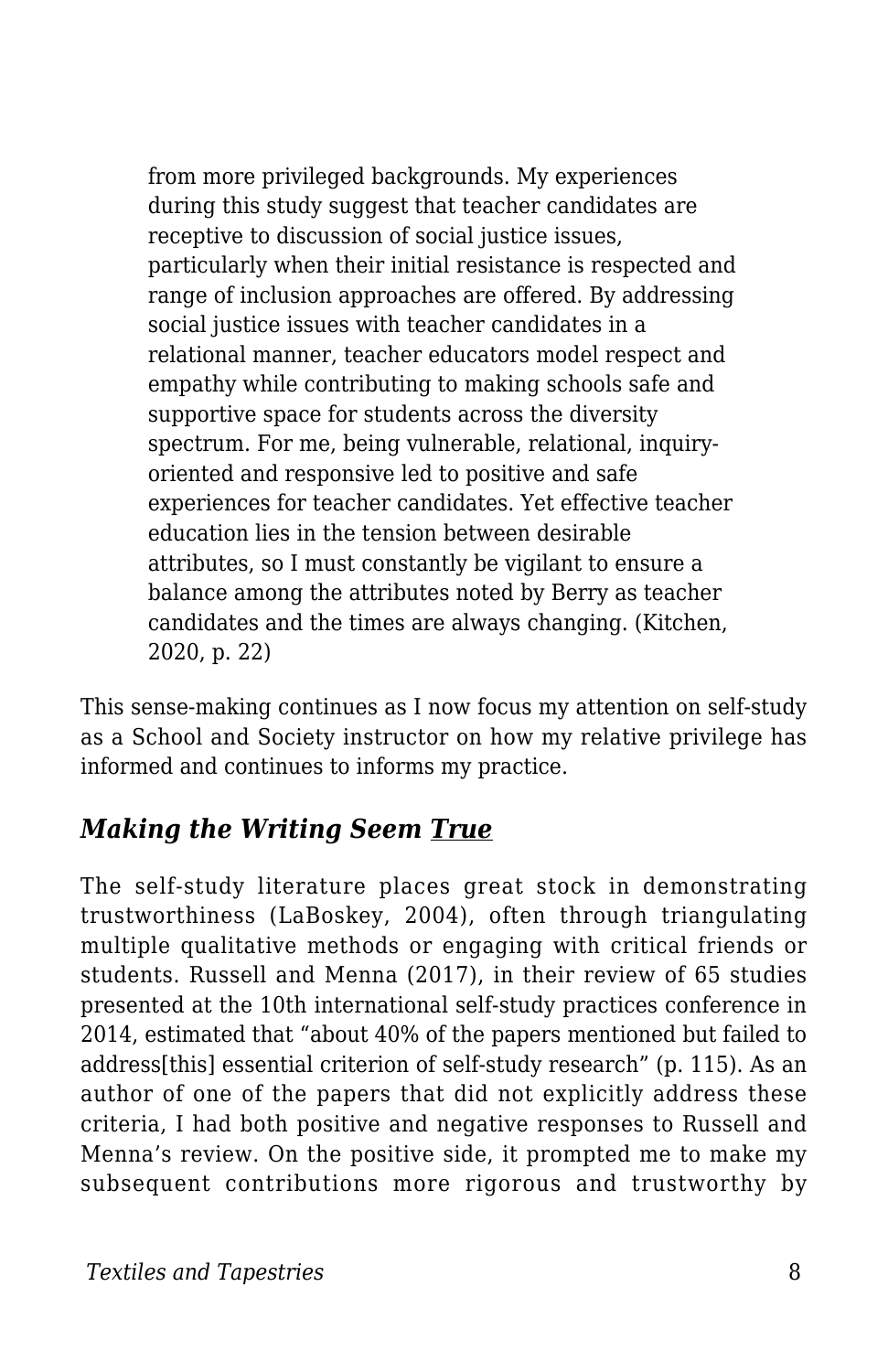from more privileged backgrounds. My experiences during this study suggest that teacher candidates are receptive to discussion of social justice issues, particularly when their initial resistance is respected and range of inclusion approaches are offered. By addressing social justice issues with teacher candidates in a relational manner, teacher educators model respect and empathy while contributing to making schools safe and supportive space for students across the diversity spectrum. For me, being vulnerable, relational, inquiryoriented and responsive led to positive and safe experiences for teacher candidates. Yet effective teacher education lies in the tension between desirable attributes, so I must constantly be vigilant to ensure a balance among the attributes noted by Berry as teacher candidates and the times are always changing. (Kitchen, 2020, p. 22)

This sense-making continues as I now focus my attention on self-study as a School and Society instructor on how my relative privilege has informed and continues to informs my practice.

#### *Making the Writing Seem True*

The self-study literature places great stock in demonstrating trustworthiness (LaBoskey, 2004), often through triangulating multiple qualitative methods or engaging with critical friends or students. Russell and Menna (2017), in their review of 65 studies presented at the 10th international self-study practices conference in 2014, estimated that "about 40% of the papers mentioned but failed to address[this] essential criterion of self-study research" (p. 115). As an author of one of the papers that did not explicitly address these criteria, I had both positive and negative responses to Russell and Menna's review. On the positive side, it prompted me to make my subsequent contributions more rigorous and trustworthy by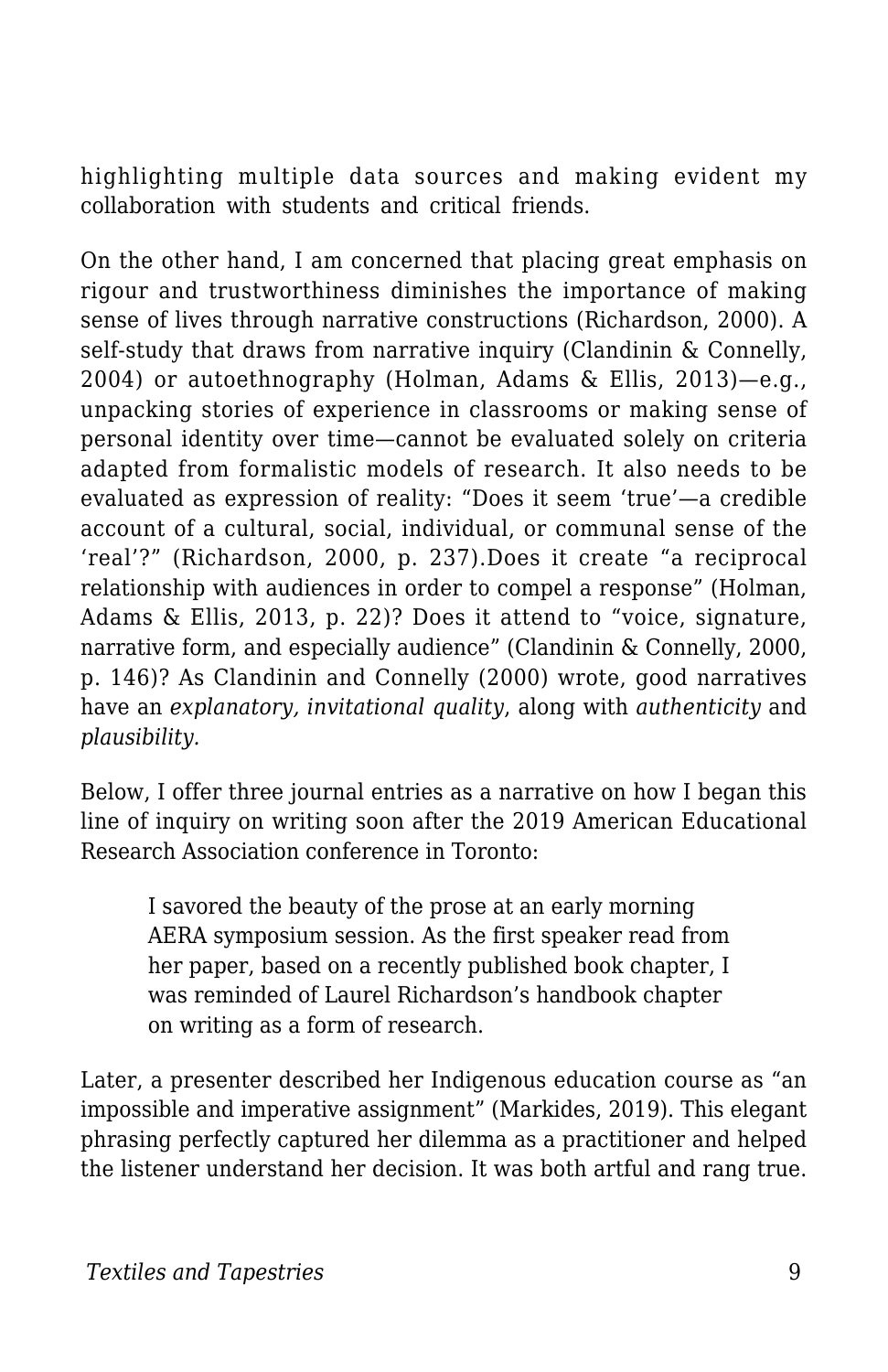highlighting multiple data sources and making evident my collaboration with students and critical friends.

On the other hand, I am concerned that placing great emphasis on rigour and trustworthiness diminishes the importance of making sense of lives through narrative constructions (Richardson, 2000). A self-study that draws from narrative inquiry (Clandinin & Connelly, 2004) or autoethnography (Holman, Adams & Ellis, 2013)—e.g., unpacking stories of experience in classrooms or making sense of personal identity over time—cannot be evaluated solely on criteria adapted from formalistic models of research. It also needs to be evaluated as expression of reality: "Does it seem 'true'—a credible account of a cultural, social, individual, or communal sense of the 'real'?" (Richardson, 2000, p. 237).Does it create "a reciprocal relationship with audiences in order to compel a response" (Holman, Adams & Ellis, 2013, p. 22)? Does it attend to "voice, signature, narrative form, and especially audience" (Clandinin & Connelly, 2000, p. 146)? As Clandinin and Connelly (2000) wrote, good narratives have an *explanatory, invitational quality*, along with *authenticity* and *plausibility.*

Below, I offer three journal entries as a narrative on how I began this line of inquiry on writing soon after the 2019 American Educational Research Association conference in Toronto:

I savored the beauty of the prose at an early morning AERA symposium session. As the first speaker read from her paper, based on a recently published book chapter, I was reminded of Laurel Richardson's handbook chapter on writing as a form of research.

Later, a presenter described her Indigenous education course as "an impossible and imperative assignment" (Markides, 2019). This elegant phrasing perfectly captured her dilemma as a practitioner and helped the listener understand her decision. It was both artful and rang true.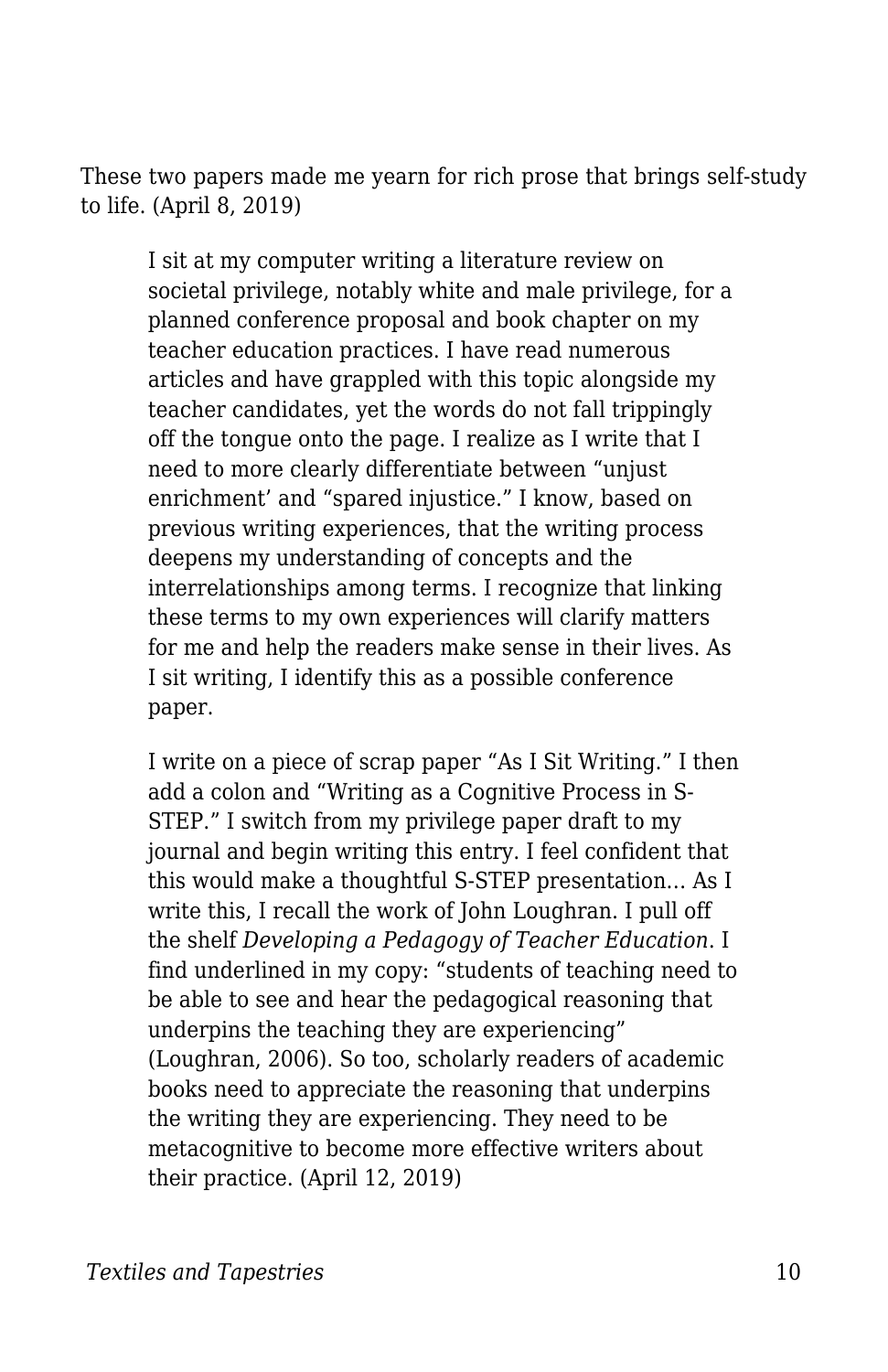These two papers made me yearn for rich prose that brings self-study to life. (April 8, 2019)

I sit at my computer writing a literature review on societal privilege, notably white and male privilege, for a planned conference proposal and book chapter on my teacher education practices. I have read numerous articles and have grappled with this topic alongside my teacher candidates, yet the words do not fall trippingly off the tongue onto the page. I realize as I write that I need to more clearly differentiate between "unjust enrichment' and "spared injustice." I know, based on previous writing experiences, that the writing process deepens my understanding of concepts and the interrelationships among terms. I recognize that linking these terms to my own experiences will clarify matters for me and help the readers make sense in their lives. As I sit writing, I identify this as a possible conference paper.

I write on a piece of scrap paper "As I Sit Writing." I then add a colon and "Writing as a Cognitive Process in S-STEP." I switch from my privilege paper draft to my journal and begin writing this entry. I feel confident that this would make a thoughtful S-STEP presentation… As I write this, I recall the work of John Loughran. I pull off the shelf *Developing a Pedagogy of Teacher Education*. I find underlined in my copy: "students of teaching need to be able to see and hear the pedagogical reasoning that underpins the teaching they are experiencing" (Loughran, 2006). So too, scholarly readers of academic books need to appreciate the reasoning that underpins the writing they are experiencing. They need to be metacognitive to become more effective writers about their practice. (April 12, 2019)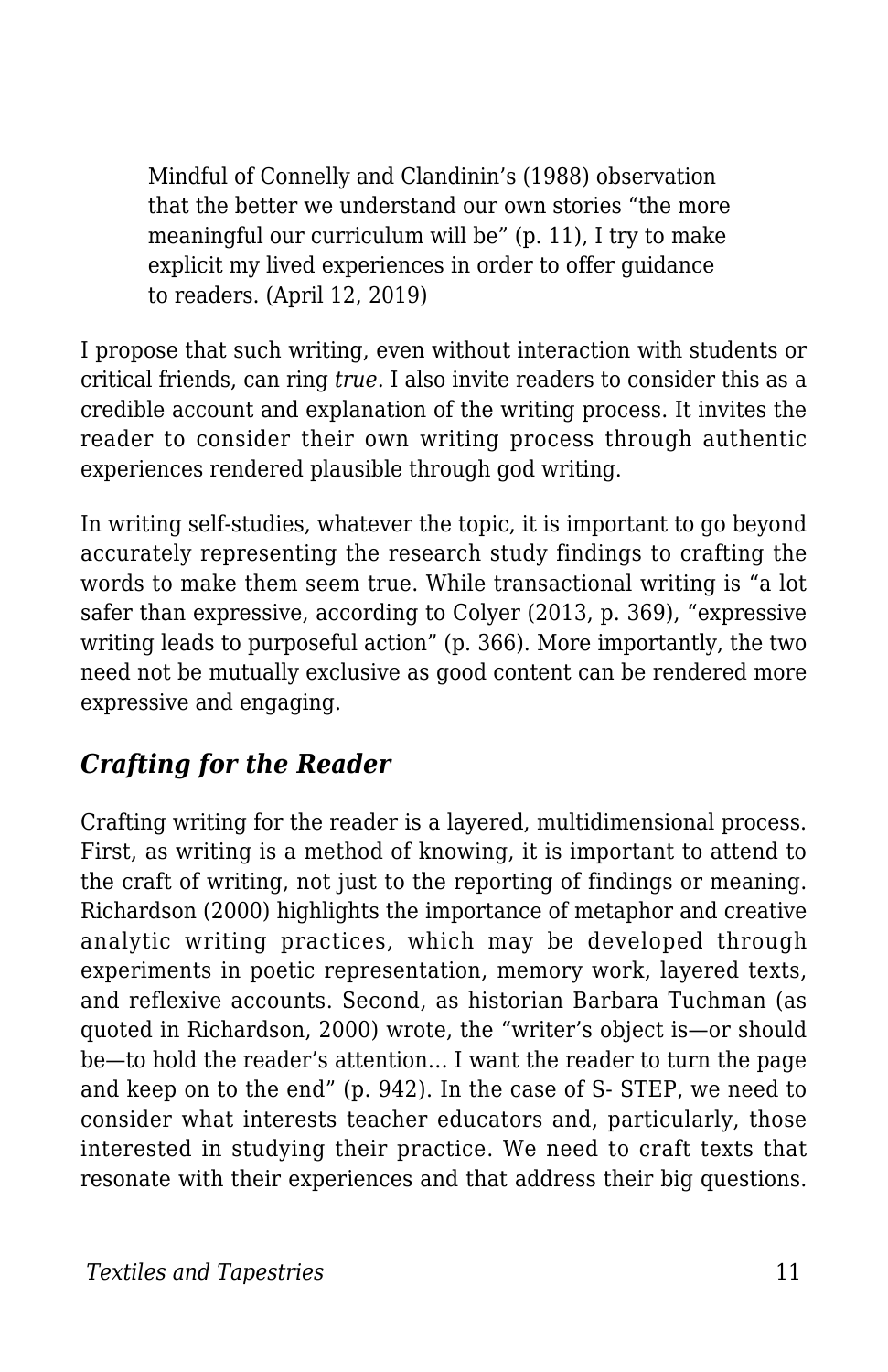Mindful of Connelly and Clandinin's (1988) observation that the better we understand our own stories "the more meaningful our curriculum will be" (p. 11), I try to make explicit my lived experiences in order to offer guidance to readers. (April 12, 2019)

I propose that such writing, even without interaction with students or critical friends, can ring *true.* I also invite readers to consider this as a credible account and explanation of the writing process. It invites the reader to consider their own writing process through authentic experiences rendered plausible through god writing.

In writing self-studies, whatever the topic, it is important to go beyond accurately representing the research study findings to crafting the words to make them seem true. While transactional writing is "a lot safer than expressive, according to Colyer (2013, p. 369), "expressive writing leads to purposeful action" (p. 366). More importantly, the two need not be mutually exclusive as good content can be rendered more expressive and engaging.

#### *Crafting for the Reader*

Crafting writing for the reader is a layered, multidimensional process. First, as writing is a method of knowing, it is important to attend to the craft of writing, not just to the reporting of findings or meaning. Richardson (2000) highlights the importance of metaphor and creative analytic writing practices, which may be developed through experiments in poetic representation, memory work, layered texts, and reflexive accounts. Second, as historian Barbara Tuchman (as quoted in Richardson, 2000) wrote, the "writer's object is—or should be—to hold the reader's attention… I want the reader to turn the page and keep on to the end" (p. 942). In the case of S- STEP, we need to consider what interests teacher educators and, particularly, those interested in studying their practice. We need to craft texts that resonate with their experiences and that address their big questions.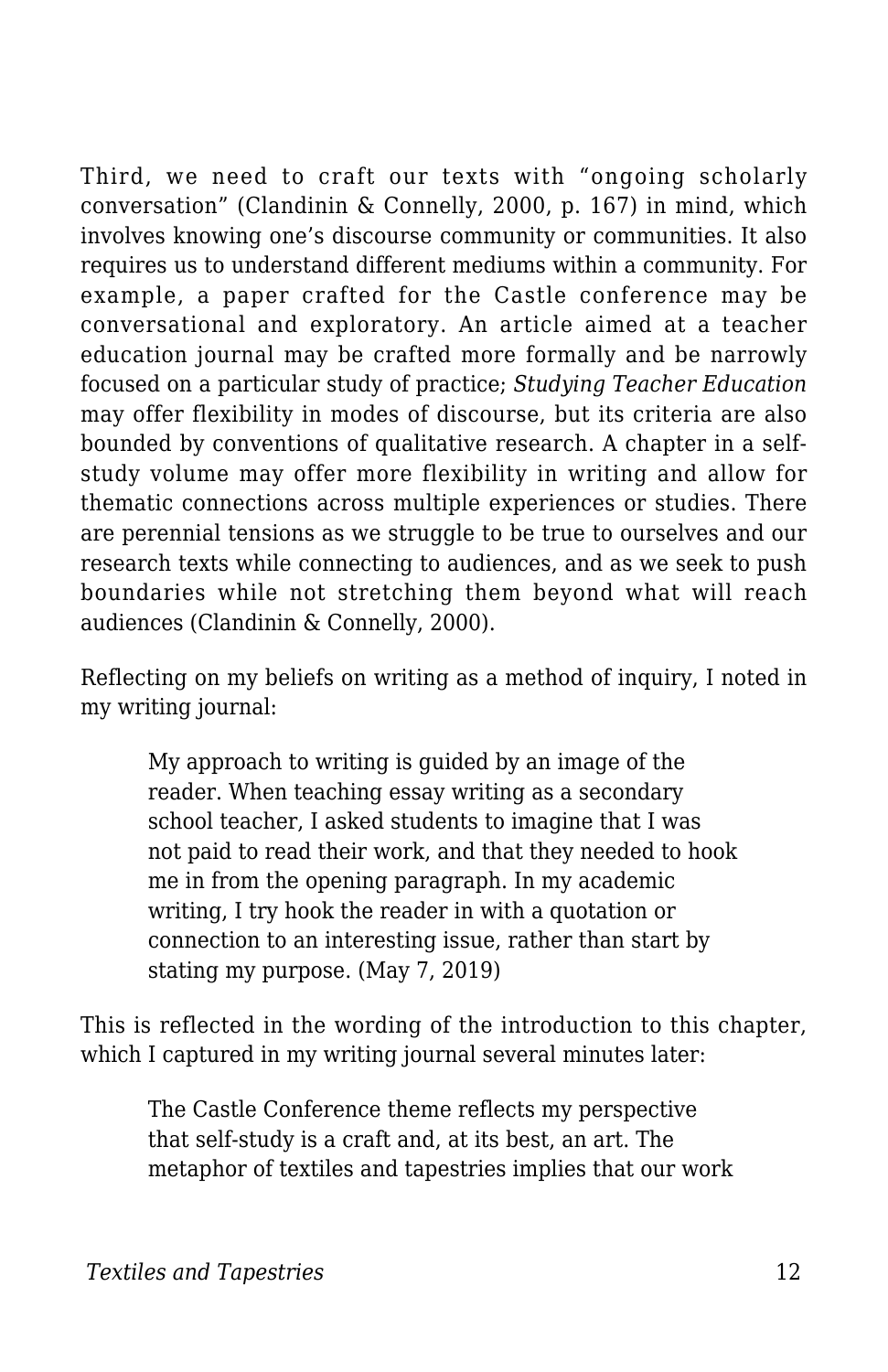Third, we need to craft our texts with "ongoing scholarly conversation" (Clandinin & Connelly, 2000, p. 167) in mind, which involves knowing one's discourse community or communities. It also requires us to understand different mediums within a community. For example, a paper crafted for the Castle conference may be conversational and exploratory. An article aimed at a teacher education journal may be crafted more formally and be narrowly focused on a particular study of practice; *Studying Teacher Education* may offer flexibility in modes of discourse, but its criteria are also bounded by conventions of qualitative research. A chapter in a selfstudy volume may offer more flexibility in writing and allow for thematic connections across multiple experiences or studies. There are perennial tensions as we struggle to be true to ourselves and our research texts while connecting to audiences, and as we seek to push boundaries while not stretching them beyond what will reach audiences (Clandinin & Connelly, 2000).

Reflecting on my beliefs on writing as a method of inquiry, I noted in my writing journal:

My approach to writing is guided by an image of the reader. When teaching essay writing as a secondary school teacher, I asked students to imagine that I was not paid to read their work, and that they needed to hook me in from the opening paragraph. In my academic writing, I try hook the reader in with a quotation or connection to an interesting issue, rather than start by stating my purpose. (May 7, 2019)

This is reflected in the wording of the introduction to this chapter, which I captured in my writing journal several minutes later:

The Castle Conference theme reflects my perspective that self-study is a craft and, at its best, an art. The metaphor of textiles and tapestries implies that our work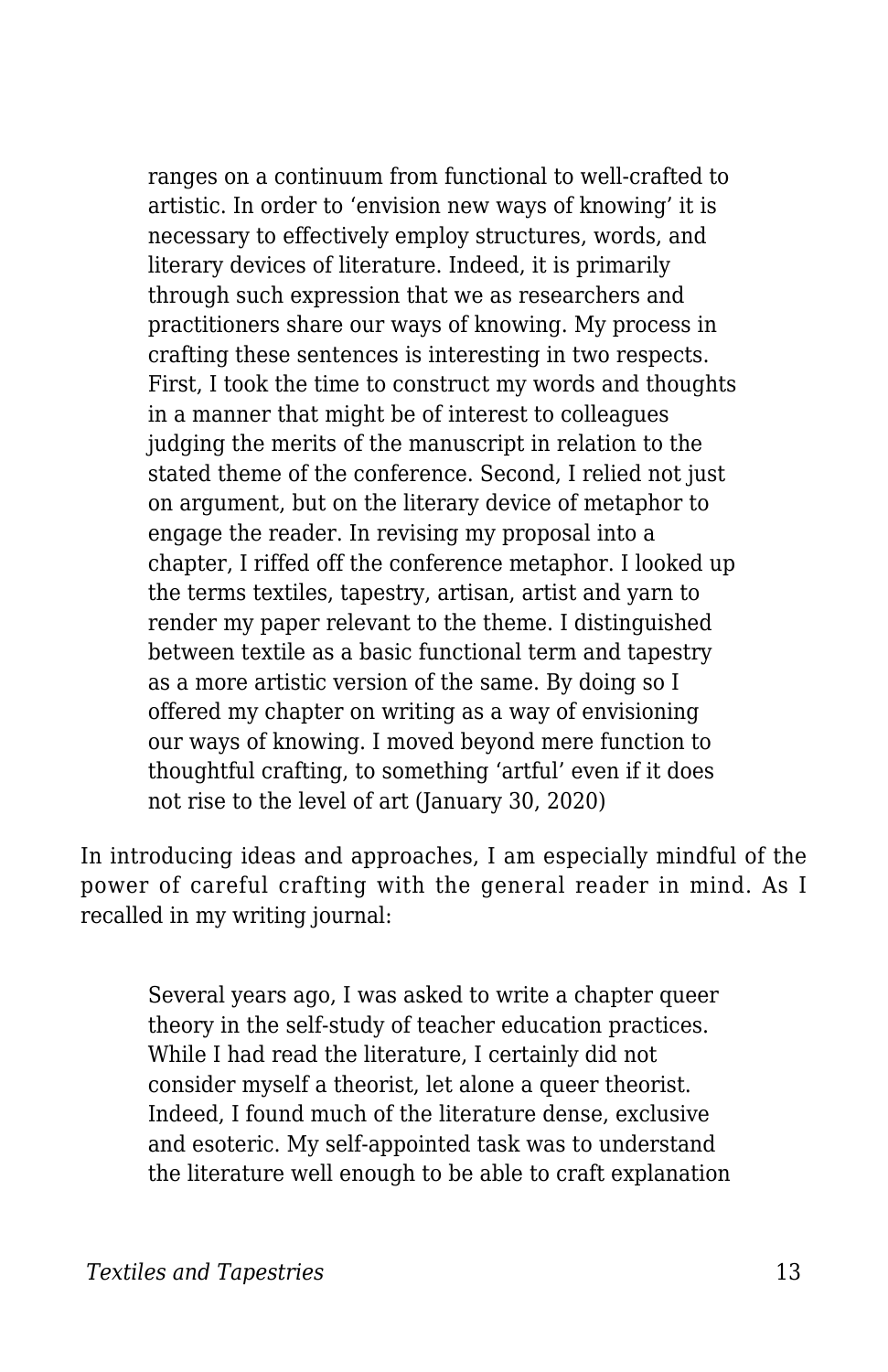ranges on a continuum from functional to well-crafted to artistic. In order to 'envision new ways of knowing' it is necessary to effectively employ structures, words, and literary devices of literature. Indeed, it is primarily through such expression that we as researchers and practitioners share our ways of knowing. My process in crafting these sentences is interesting in two respects. First, I took the time to construct my words and thoughts in a manner that might be of interest to colleagues judging the merits of the manuscript in relation to the stated theme of the conference. Second, I relied not just on argument, but on the literary device of metaphor to engage the reader. In revising my proposal into a chapter, I riffed off the conference metaphor. I looked up the terms textiles, tapestry, artisan, artist and yarn to render my paper relevant to the theme. I distinguished between textile as a basic functional term and tapestry as a more artistic version of the same. By doing so I offered my chapter on writing as a way of envisioning our ways of knowing. I moved beyond mere function to thoughtful crafting, to something 'artful' even if it does not rise to the level of art (January 30, 2020)

In introducing ideas and approaches, I am especially mindful of the power of careful crafting with the general reader in mind. As I recalled in my writing journal:

Several years ago, I was asked to write a chapter queer theory in the self-study of teacher education practices. While I had read the literature, I certainly did not consider myself a theorist, let alone a queer theorist. Indeed, I found much of the literature dense, exclusive and esoteric. My self-appointed task was to understand the literature well enough to be able to craft explanation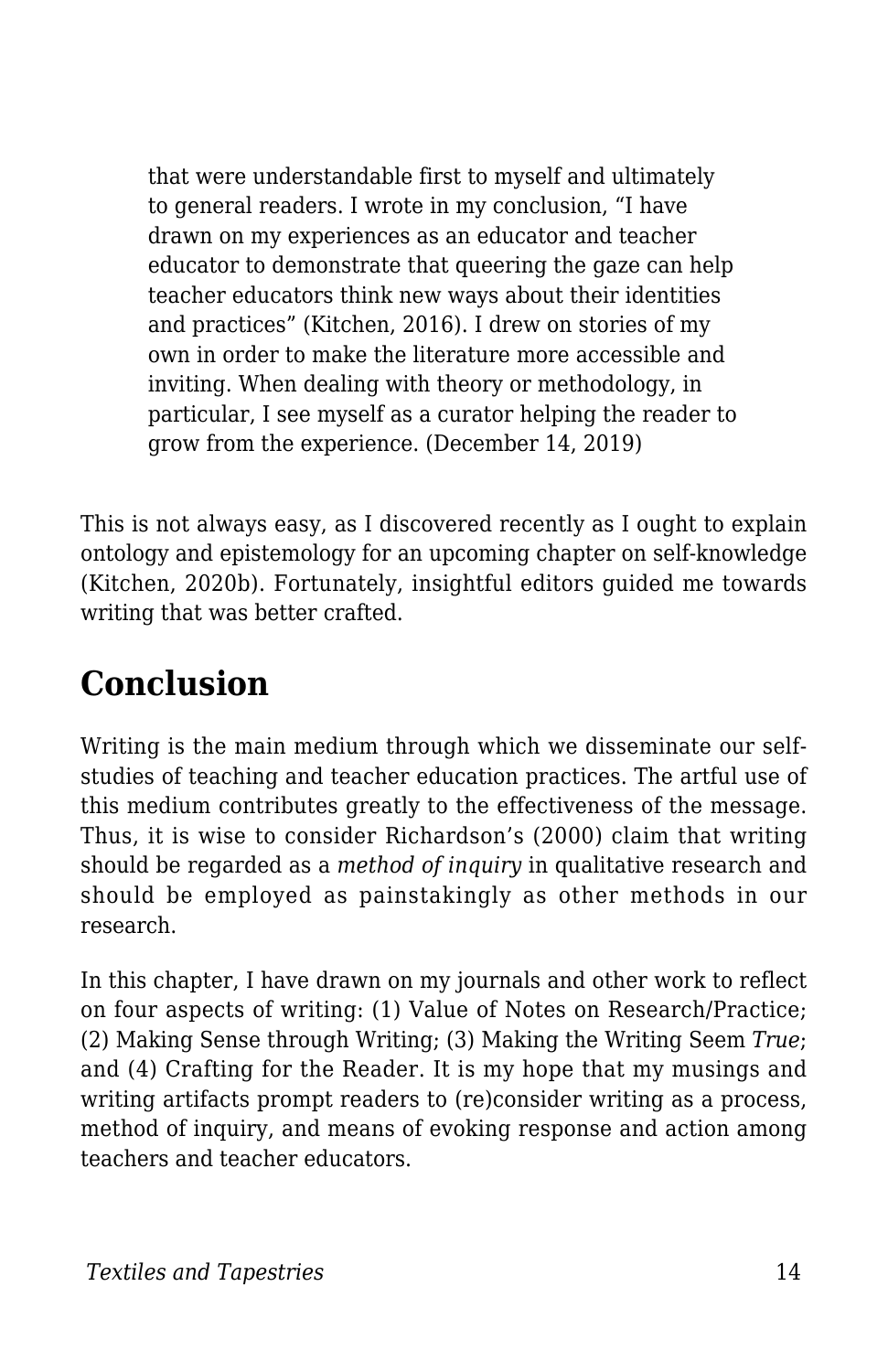that were understandable first to myself and ultimately to general readers. I wrote in my conclusion, "I have drawn on my experiences as an educator and teacher educator to demonstrate that queering the gaze can help teacher educators think new ways about their identities and practices" (Kitchen, 2016). I drew on stories of my own in order to make the literature more accessible and inviting. When dealing with theory or methodology, in particular, I see myself as a curator helping the reader to grow from the experience. (December 14, 2019)

This is not always easy, as I discovered recently as I ought to explain ontology and epistemology for an upcoming chapter on self-knowledge (Kitchen, 2020b). Fortunately, insightful editors guided me towards writing that was better crafted.

# **Conclusion**

Writing is the main medium through which we disseminate our selfstudies of teaching and teacher education practices. The artful use of this medium contributes greatly to the effectiveness of the message. Thus, it is wise to consider Richardson's (2000) claim that writing should be regarded as a *method of inquiry* in qualitative research and should be employed as painstakingly as other methods in our research.

In this chapter, I have drawn on my journals and other work to reflect on four aspects of writing: (1) Value of Notes on Research/Practice; (2) Making Sense through Writing; (3) Making the Writing Seem *True*; and (4) Crafting for the Reader. It is my hope that my musings and writing artifacts prompt readers to (re)consider writing as a process, method of inquiry, and means of evoking response and action among teachers and teacher educators.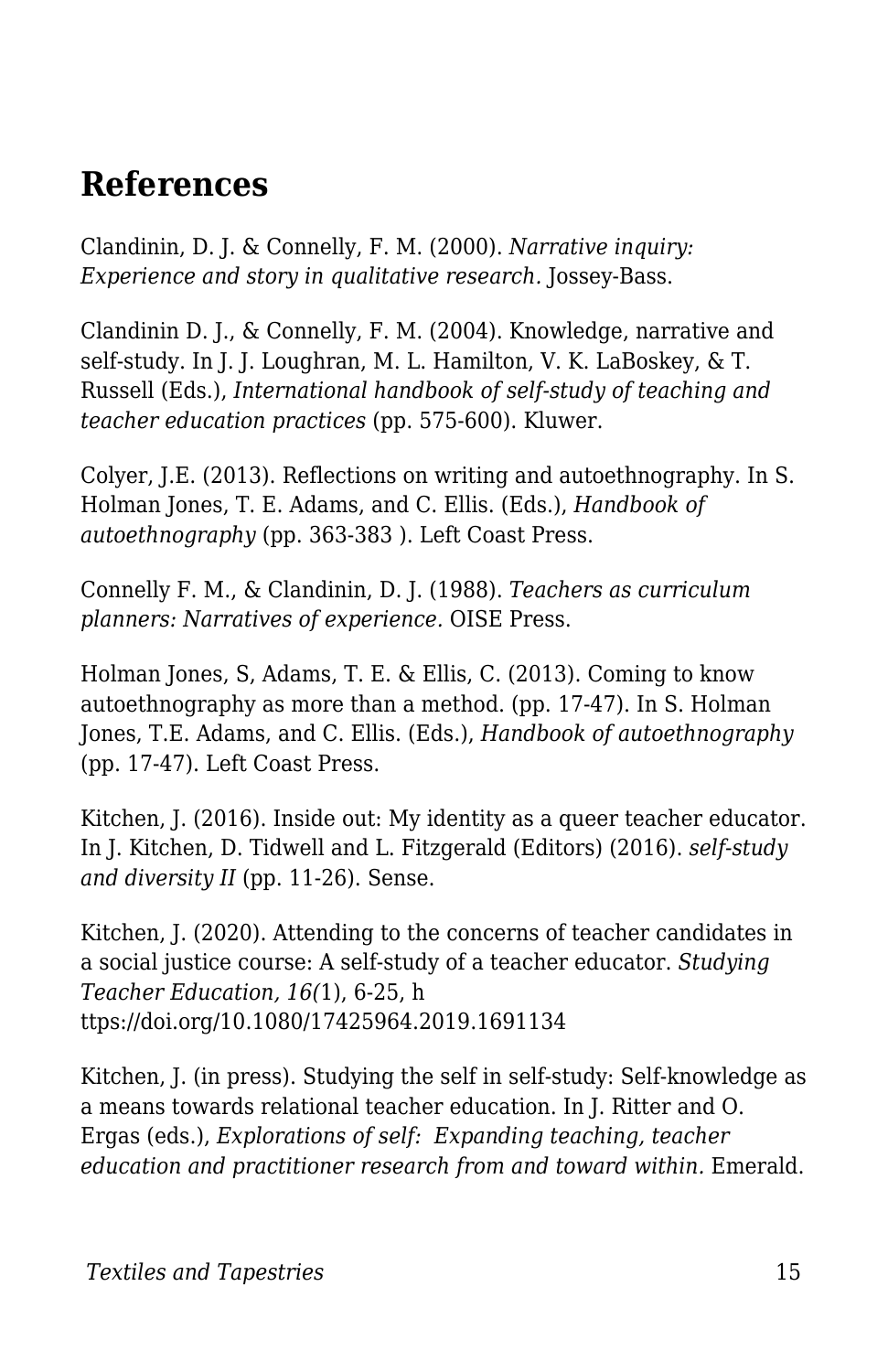### **References**

Clandinin, D. J. & Connelly, F. M. (2000). *Narrative inquiry: Experience and story in qualitative research.* Jossey-Bass.

Clandinin D. J., & Connelly, F. M. (2004). Knowledge, narrative and self-study. In J. J. Loughran, M. L. Hamilton, V. K. LaBoskey, & T. Russell (Eds.), *International handbook of self-study of teaching and teacher education practices* (pp. 575-600). Kluwer.

Colyer, J.E. (2013). Reflections on writing and autoethnography. In S. Holman Jones, T. E. Adams, and C. Ellis. (Eds.), *Handbook of autoethnography* (pp. 363-383 ). Left Coast Press.

Connelly F. M., & Clandinin, D. J. (1988). *Teachers as curriculum planners: Narratives of experience.* OISE Press.

Holman Jones, S, Adams, T. E. & Ellis, C. (2013). Coming to know autoethnography as more than a method. (pp. 17-47). In S. Holman Jones, T.E. Adams, and C. Ellis. (Eds.), *Handbook of autoethnography* (pp. 17-47). Left Coast Press.

Kitchen, J. (2016). Inside out: My identity as a queer teacher educator. In J. Kitchen, D. Tidwell and L. Fitzgerald (Editors) (2016). *self-study and diversity II* (pp. 11-26). Sense.

Kitchen, J. (2020). Attending to the concerns of teacher candidates in a social justice course: A self-study of a teacher educator. *Studying Teacher Education, 16(*1), 6-25, h ttps://doi.org/10.1080/17425964.2019.1691134

Kitchen, J. (in press). Studying the self in self-study: Self-knowledge as a means towards relational teacher education. In J. Ritter and O. Ergas (eds.), *Explorations of self: Expanding teaching, teacher education and practitioner research from and toward within.* Emerald.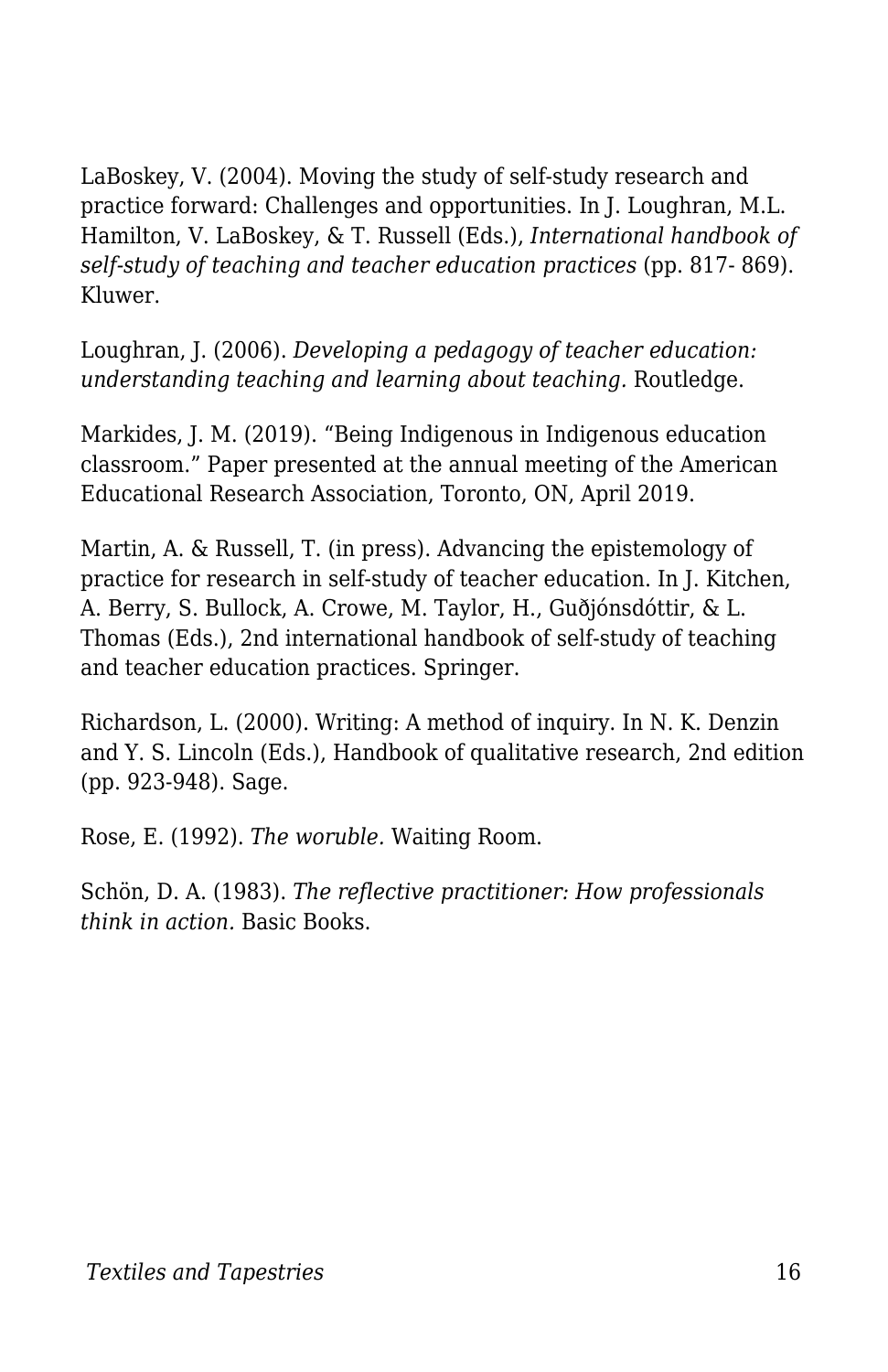LaBoskey, V. (2004). Moving the study of self-study research and practice forward: Challenges and opportunities. In J. Loughran, M.L. Hamilton, V. LaBoskey, & T. Russell (Eds.), *International handbook of self-study of teaching and teacher education practices* (pp. 817- 869). Kluwer.

Loughran, J. (2006). *Developing a pedagogy of teacher education: understanding teaching and learning about teaching.* Routledge.

Markides, J. M. (2019). "Being Indigenous in Indigenous education classroom." Paper presented at the annual meeting of the American Educational Research Association, Toronto, ON, April 2019.

Martin, A. & Russell, T. (in press). Advancing the epistemology of practice for research in self-study of teacher education. In J. Kitchen, A. Berry, S. Bullock, A. Crowe, M. Taylor, H., Guðjónsdóttir, & L. Thomas (Eds.), 2nd international handbook of self-study of teaching and teacher education practices. Springer.

Richardson, L. (2000). Writing: A method of inquiry. In N. K. Denzin and Y. S. Lincoln (Eds.), Handbook of qualitative research, 2nd edition (pp. 923-948). Sage.

Rose, E. (1992). *The woruble.* Waiting Room.

Schön, D. A. (1983). *The reflective practitioner: How professionals think in action.* Basic Books.